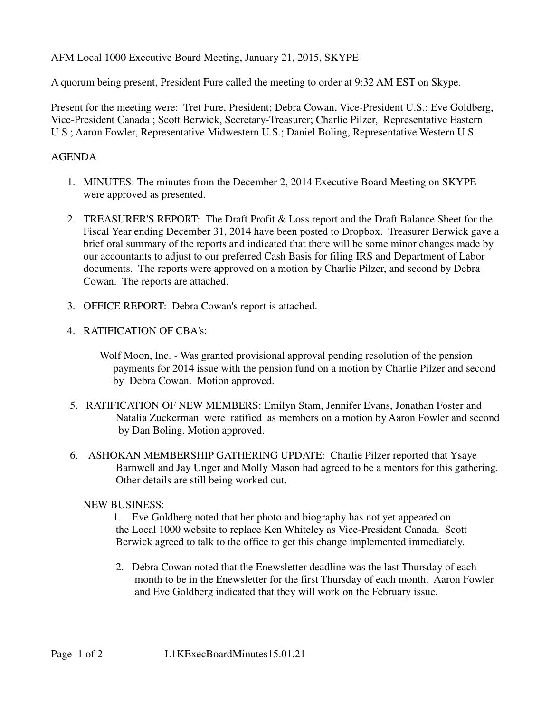AFM Local 1000 Executive Board Meeting, January 21, 2015, SKYPE

A quorum being present, President Fure called the meeting to order at 9:32 AM EST on Skype.

Present for the meeting were: Tret Fure, President; Debra Cowan, Vice-President U.S.; Eve Goldberg, Vice-President Canada ; Scott Berwick, Secretary-Treasurer; Charlie Pilzer, Representative Eastern U.S.; Aaron Fowler, Representative Midwestern U.S.; Daniel Boling, Representative Western U.S.

## AGENDA

- 1. MINUTES: The minutes from the December 2, 2014 Executive Board Meeting on SKYPE were approved as presented.
- 2. TREASURER'S REPORT: The Draft Profit & Loss report and the Draft Balance Sheet for the Fiscal Year ending December 31, 2014 have been posted to Dropbox. Treasurer Berwick gave a brief oral summary of the reports and indicated that there will be some minor changes made by our accountants to adjust to our preferred Cash Basis for filing IRS and Department of Labor documents. The reports were approved on a motion by Charlie Pilzer, and second by Debra Cowan. The reports are attached.
- 3. OFFICE REPORT: Debra Cowan's report is attached.
- 4. RATIFICATION OF CBA's:
	- Wolf Moon, Inc. Was granted provisional approval pending resolution of the pension payments for 2014 issue with the pension fund on a motion by Charlie Pilzer and second by Debra Cowan. Motion approved.
- 5. RATIFICATION OF NEW MEMBERS: Emilyn Stam, Jennifer Evans, Jonathan Foster and Natalia Zuckerman were ratified as members on a motion by Aaron Fowler and second by Dan Boling. Motion approved.
- 6. ASHOKAN MEMBERSHIP GATHERING UPDATE: Charlie Pilzer reported that Ysaye Barnwell and Jay Unger and Molly Mason had agreed to be a mentors for this gathering. Other details are still being worked out.

## NEW BUSINESS:

 1. Eve Goldberg noted that her photo and biography has not yet appeared on the Local 1000 website to replace Ken Whiteley as Vice-President Canada. Scott Berwick agreed to talk to the office to get this change implemented immediately.

 2. Debra Cowan noted that the Enewsletter deadline was the last Thursday of each month to be in the Enewsletter for the first Thursday of each month. Aaron Fowler and Eve Goldberg indicated that they will work on the February issue.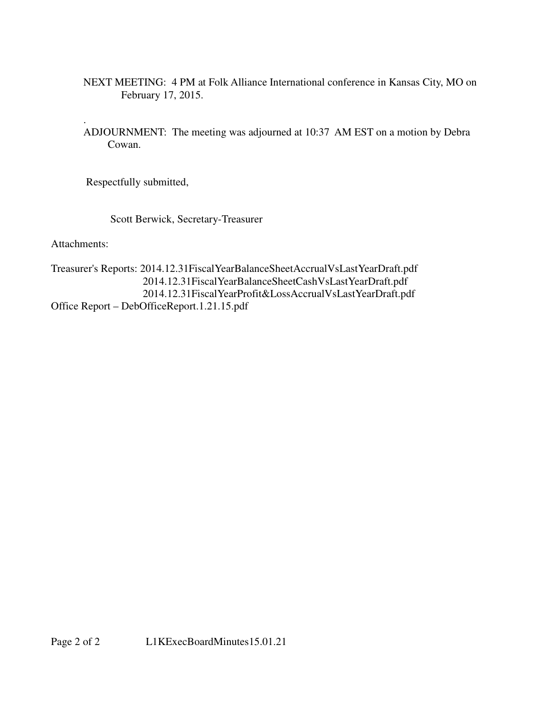- NEXT MEETING: 4 PM at Folk Alliance International conference in Kansas City, MO on February 17, 2015.
- . ADJOURNMENT: The meeting was adjourned at 10:37 AM EST on a motion by Debra Cowan.

Respectfully submitted,

Scott Berwick, Secretary-Treasurer

Attachments:

Treasurer's Reports: 2014.12.31FiscalYearBalanceSheetAccrualVsLastYearDraft.pdf 2014.12.31FiscalYearBalanceSheetCashVsLastYearDraft.pdf 2014.12.31FiscalYearProfit&LossAccrualVsLastYearDraft.pdf Office Report – DebOfficeReport.1.21.15.pdf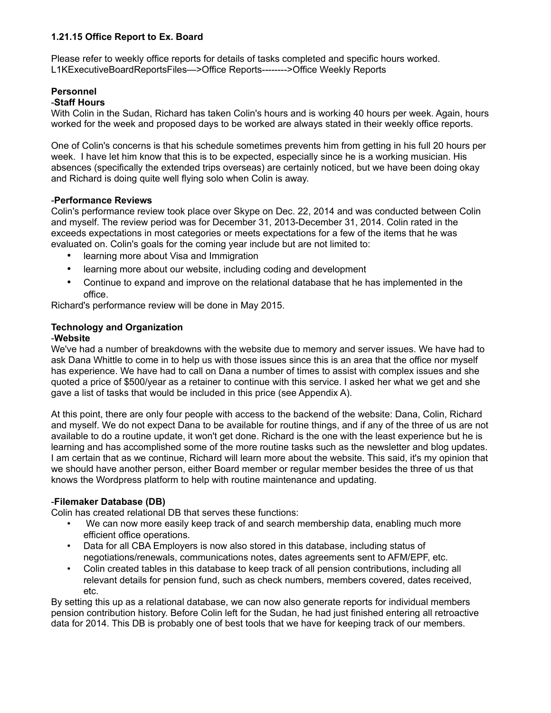### **1.21.15 Office Report to Ex. Board**

Please refer to weekly office reports for details of tasks completed and specific hours worked. L1KExecutiveBoardReportsFiles—>Office Reports-------->Office Weekly Reports

## **Personnel**

### -**Staff Hours**

With Colin in the Sudan, Richard has taken Colin's hours and is working 40 hours per week. Again, hours worked for the week and proposed days to be worked are always stated in their weekly office reports.

One of Colin's concerns is that his schedule sometimes prevents him from getting in his full 20 hours per week. I have let him know that this is to be expected, especially since he is a working musician. His absences (specifically the extended trips overseas) are certainly noticed, but we have been doing okay and Richard is doing quite well flying solo when Colin is away.

### -**Performance Reviews**

Colin's performance review took place over Skype on Dec. 22, 2014 and was conducted between Colin and myself. The review period was for December 31, 2013-December 31, 2014. Colin rated in the exceeds expectations in most categories or meets expectations for a few of the items that he was evaluated on. Colin's goals for the coming year include but are not limited to:

- learning more about Visa and Immigration
- learning more about our website, including coding and development
- Continue to expand and improve on the relational database that he has implemented in the office.

Richard's performance review will be done in May 2015.

#### **Technology and Organization** -**Website**

We've had a number of breakdowns with the website due to memory and server issues. We have had to ask Dana Whittle to come in to help us with those issues since this is an area that the office nor myself has experience. We have had to call on Dana a number of times to assist with complex issues and she quoted a price of \$500/year as a retainer to continue with this service. I asked her what we get and she gave a list of tasks that would be included in this price (see Appendix A).

At this point, there are only four people with access to the backend of the website: Dana, Colin, Richard and myself. We do not expect Dana to be available for routine things, and if any of the three of us are not available to do a routine update, it won't get done. Richard is the one with the least experience but he is learning and has accomplished some of the more routine tasks such as the newsletter and blog updates. I am certain that as we continue, Richard will learn more about the website. This said, it's my opinion that we should have another person, either Board member or regular member besides the three of us that knows the Wordpress platform to help with routine maintenance and updating.

### -**Filemaker Database (DB)**

Colin has created relational DB that serves these functions:

- We can now more easily keep track of and search membership data, enabling much more efficient office operations.
- Data for all CBA Employers is now also stored in this database, including status of negotiations/renewals, communications notes, dates agreements sent to AFM/EPF, etc.
- Colin created tables in this database to keep track of all pension contributions, including all relevant details for pension fund, such as check numbers, members covered, dates received, etc.

By setting this up as a relational database, we can now also generate reports for individual members pension contribution history. Before Colin left for the Sudan, he had just finished entering all retroactive data for 2014. This DB is probably one of best tools that we have for keeping track of our members.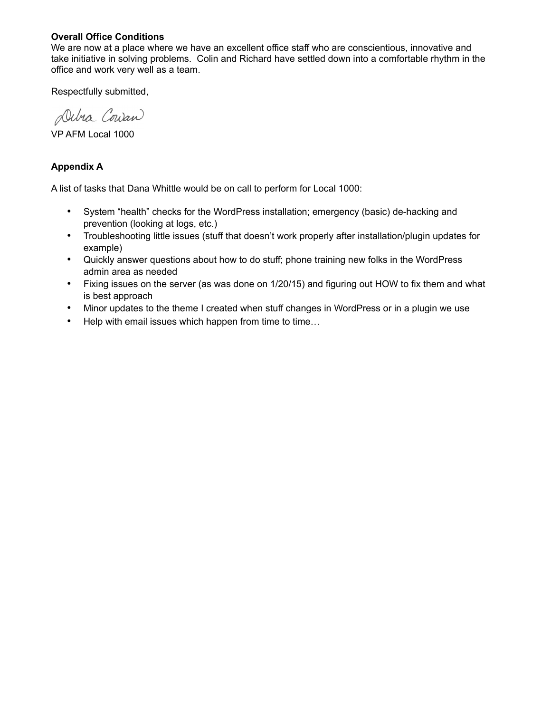### **Overall Office Conditions**

We are now at a place where we have an excellent office staff who are conscientious, innovative and take initiative in solving problems. Colin and Richard have settled down into a comfortable rhythm in the office and work very well as a team.

Respectfully submitted,

Debra Couran

VP AFM Local 1000

### **Appendix A**

A list of tasks that Dana Whittle would be on call to perform for Local 1000:

- System "health" checks for the WordPress installation; emergency (basic) de-hacking and prevention (looking at logs, etc.)
- Troubleshooting little issues (stuff that doesn't work properly after installation/plugin updates for example)
- Quickly answer questions about how to do stuff; phone training new folks in the WordPress admin area as needed
- Fixing issues on the server (as was done on 1/20/15) and figuring out HOW to fix them and what is best approach
- Minor updates to the theme I created when stuff changes in WordPress or in a plugin we use
- Help with email issues which happen from time to time...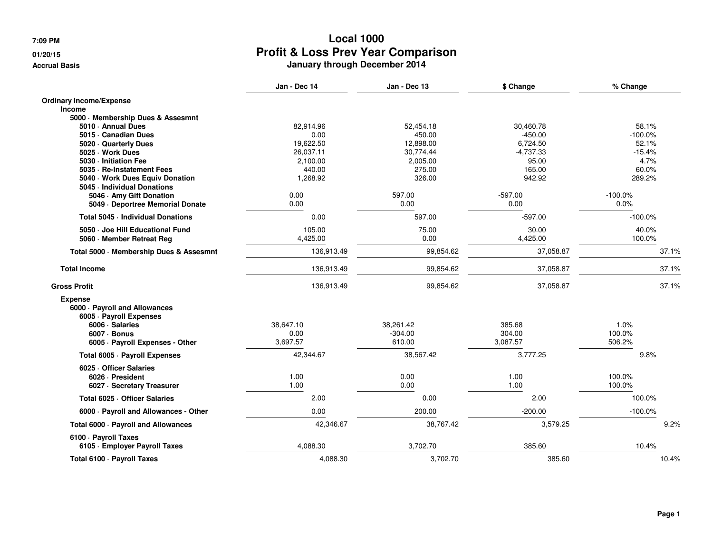#### **01/20/15**

**Accrual Basis**

| Jan - Dec 14<br>Jan - Dec 13<br>\$ Change                                                                                                   | % Change  |
|---------------------------------------------------------------------------------------------------------------------------------------------|-----------|
| <b>Ordinary Income/Expense</b>                                                                                                              |           |
| <b>Income</b>                                                                                                                               |           |
| 5000 Membership Dues & Assesmnt                                                                                                             | 58.1%     |
| 82,914.96<br>52,454.18<br>5010 · Annual Dues<br>30,460.78<br>5015 · Canadian Dues<br>0.00<br>450.00<br>$-450.00$                            | $-100.0%$ |
| 19,622.50<br>12,898.00<br>5020 · Quarterly Dues<br>6,724.50                                                                                 | 52.1%     |
| 26,037.11<br>30,774.44<br>$-4,737.33$<br>5025 · Work Dues                                                                                   | $-15.4%$  |
| 5030 · Initiation Fee<br>2,100.00<br>2,005.00<br>95.00                                                                                      | 4.7%      |
| 440.00<br>275.00<br>165.00<br>5035 · Re-Instatement Fees                                                                                    | 60.0%     |
| 5040 Work Dues Equiv Donation<br>1,268.92<br>326.00<br>942.92                                                                               | 289.2%    |
| 5045 - Individual Donations                                                                                                                 |           |
| $-597.00$<br>0.00<br>597.00<br>$-100.0\%$<br>5046 Amy Gift Donation                                                                         |           |
| 0.00<br>0.00<br>0.00<br>5049 Deportree Memorial Donate                                                                                      | 0.0%      |
| Total 5045 - Individual Donations<br>597.00<br>$-597.00$<br>0.00                                                                            | $-100.0%$ |
| 105.00<br>75.00<br>30.00<br>5050 · Joe Hill Educational Fund                                                                                | 40.0%     |
| 4,425.00<br>0.00<br>4,425.00<br>5060 Member Retreat Reg                                                                                     | 100.0%    |
| 136,913.49<br>99,854.62<br>37,058.87<br>Total 5000 · Membership Dues & Assesmnt                                                             | 37.1%     |
| <b>Total Income</b><br>136,913.49<br>99,854.62<br>37,058.87                                                                                 | 37.1%     |
| 99,854.62<br><b>Gross Profit</b><br>136,913.49<br>37,058.87                                                                                 | 37.1%     |
| <b>Expense</b><br>6000 · Payroll and Allowances<br>6005 · Payroll Expenses<br>38.647.10<br>385.68<br>6006 · Salaries<br>38,261.42           | 1.0%      |
| 100.0%<br>0.00<br>$-304.00$<br>304.00<br>6007 · Bonus                                                                                       |           |
| 506.2%<br>3,697.57<br>610.00<br>3,087.57<br>6005 · Payroll Expenses - Other                                                                 |           |
| 42,344.67<br>3,777.25<br>38,567.42<br>Total 6005 · Payroll Expenses                                                                         | 9.8%      |
| 6025 Officer Salaries<br>0.00<br>100.0%<br>1.00<br>1.00<br>6026 · President<br>1.00<br>100.0%<br>0.00<br>1.00<br>6027 · Secretary Treasurer |           |
| 2.00<br>0.00<br>2.00<br>Total 6025 · Officer Salaries                                                                                       | 100.0%    |
| 0.00<br>200.00<br>$-200.00$<br>6000 · Payroll and Allowances - Other                                                                        | $-100.0%$ |
| 42,346.67<br>38,767.42<br>3,579.25<br>Total 6000 · Payroll and Allowances                                                                   | 9.2%      |
| 6100 - Payroll Taxes<br>385.60<br>6105 · Employer Payroll Taxes<br>4,088.30<br>3,702.70                                                     | 10.4%     |
| 4,088.30<br>3,702.70<br>385.60<br>Total 6100 · Payroll Taxes                                                                                | 10.4%     |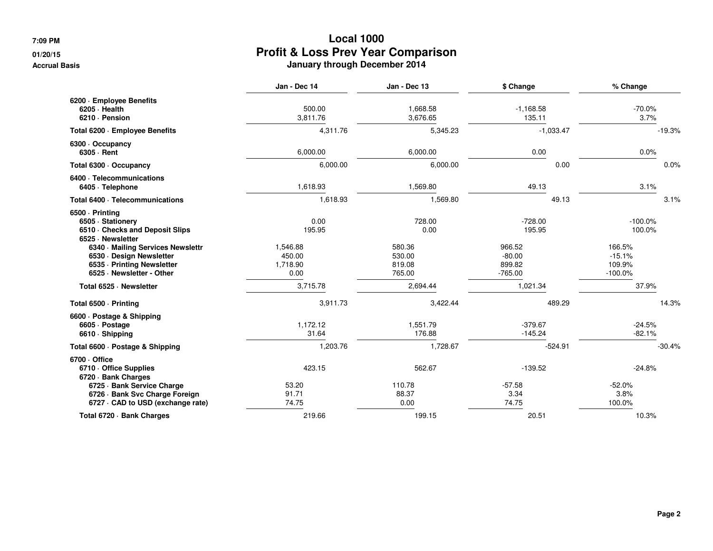#### **01/20/15**

**Accrual Basis**

|                                                                                                                                                                                       | Jan - Dec 14                                     | Jan - Dec 13                                 | \$ Change                                           | % Change                                             |
|---------------------------------------------------------------------------------------------------------------------------------------------------------------------------------------|--------------------------------------------------|----------------------------------------------|-----------------------------------------------------|------------------------------------------------------|
| 6200 · Employee Benefits<br>$6205 \cdot$ Health<br>6210 · Pension                                                                                                                     | 500.00<br>3,811.76                               | 1,668.58<br>3,676.65                         | $-1,168.58$<br>135.11                               | $-70.0%$<br>3.7%                                     |
| Total 6200 - Employee Benefits                                                                                                                                                        | 4,311.76                                         | 5,345.23                                     | $-1,033.47$                                         | $-19.3%$                                             |
| 6300 Occupancy<br>6305 · Rent                                                                                                                                                         | 6,000.00                                         | 6,000.00                                     | 0.00                                                | 0.0%                                                 |
| Total 6300 · Occupancy                                                                                                                                                                | 6,000.00                                         | 6,000.00                                     | 0.00                                                | 0.0%                                                 |
| 6400 · Telecommunications<br>6405 · Telephone                                                                                                                                         | 1,618.93                                         | 1,569.80                                     | 49.13                                               | 3.1%                                                 |
| Total 6400 · Telecommunications                                                                                                                                                       | 1,618.93                                         | 1,569.80                                     | 49.13                                               | 3.1%                                                 |
| 6500 - Printing<br>6505 · Stationery<br>6510 Checks and Deposit Slips<br>6525 · Newsletter<br>6340 Mailing Services Newslettr<br>6530 Design Newsletter<br>6535 - Printing Newsletter | 0.00<br>195.95<br>1,546.88<br>450.00<br>1,718.90 | 728.00<br>0.00<br>580.36<br>530.00<br>819.08 | $-728.00$<br>195.95<br>966.52<br>$-80.00$<br>899.82 | $-100.0\%$<br>100.0%<br>166.5%<br>$-15.1%$<br>109.9% |
| 6525 · Newsletter - Other                                                                                                                                                             | 0.00                                             | 765.00                                       | $-765.00$                                           | $-100.0\%$                                           |
| Total 6525 · Newsletter                                                                                                                                                               | 3,715.78                                         | 2,694.44                                     | 1,021.34                                            | 37.9%                                                |
| Total 6500 · Printing                                                                                                                                                                 | 3,911.73                                         | 3,422.44                                     | 489.29                                              | 14.3%                                                |
| 6600 - Postage & Shipping<br>6605 · Postage<br>6610 · Shipping                                                                                                                        | 1,172.12<br>31.64                                | 1,551.79<br>176.88                           | $-379.67$<br>$-145.24$                              | $-24.5%$<br>$-82.1%$                                 |
| Total 6600 · Postage & Shipping                                                                                                                                                       | 1,203.76                                         | 1,728.67                                     | $-524.91$                                           | $-30.4%$                                             |
| 6700 Office<br>6710 Office Supplies<br>6720 · Bank Charges                                                                                                                            | 423.15                                           | 562.67                                       | $-139.52$                                           | $-24.8%$                                             |
| 6725 · Bank Service Charge<br>6726 · Bank Svc Charge Foreign<br>6727 · CAD to USD (exchange rate)                                                                                     | 53.20<br>91.71<br>74.75                          | 110.78<br>88.37<br>0.00                      | $-57.58$<br>3.34<br>74.75                           | $-52.0%$<br>3.8%<br>100.0%                           |
| Total 6720 · Bank Charges                                                                                                                                                             | 219.66                                           | 199.15                                       | 20.51                                               | 10.3%                                                |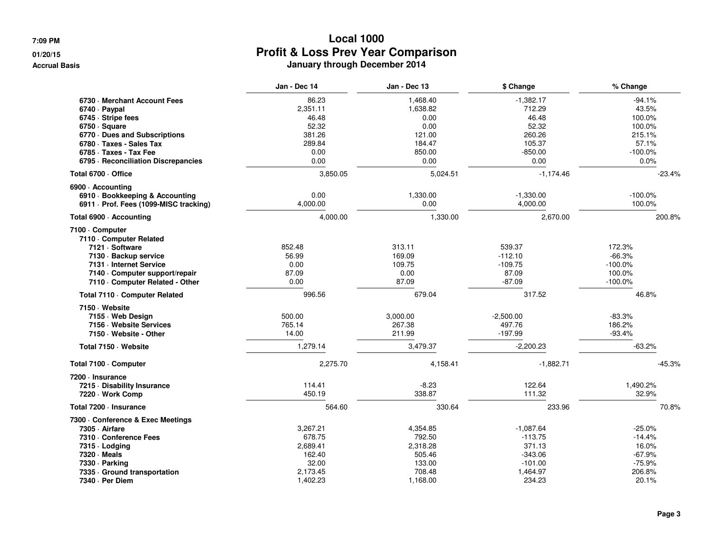#### **01/20/15**

**Accrual Basis**

|                                            | Jan - Dec 14 | Jan - Dec 13 | \$ Change   | % Change   |
|--------------------------------------------|--------------|--------------|-------------|------------|
| 6730 - Merchant Account Fees               | 86.23        | 1.468.40     | $-1.382.17$ | $-94.1%$   |
| 6740 · Paypal                              | 2.351.11     | 1,638.82     | 712.29      | 43.5%      |
| 6745 · Stripe fees                         | 46.48        | 0.00         | 46.48       | 100.0%     |
| $6750 \cdot Square$                        | 52.32        | 0.00         | 52.32       | 100.0%     |
| 6770 Dues and Subscriptions                | 381.26       | 121.00       | 260.26      | 215.1%     |
| 6780 · Taxes - Sales Tax                   | 289.84       | 184.47       | 105.37      | 57.1%      |
| 6785 · Taxes - Tax Fee                     | 0.00         | 850.00       | -850.00     | $-100.0\%$ |
| 6795 - Reconciliation Discrepancies        | 0.00         | 0.00         | 0.00        | 0.0%       |
| Total 6700 · Office                        | 3,850.05     | 5,024.51     | $-1,174.46$ | $-23.4%$   |
| 6900 - Accounting                          |              |              |             |            |
| 6910 · Bookkeeping & Accounting            | 0.00         | 1,330.00     | $-1,330.00$ | $-100.0\%$ |
| 6911 · Prof. Fees (1099-MISC tracking)     | 4.000.00     | 0.00         | 4,000.00    | 100.0%     |
| Total 6900 · Accounting                    | 4,000.00     | 1,330.00     | 2,670.00    | 200.8%     |
| 7100 · Computer<br>7110 - Computer Related |              |              |             |            |
| 7121 · Software                            | 852.48       | 313.11       | 539.37      | 172.3%     |
| 7130 · Backup service                      | 56.99        | 169.09       | $-112.10$   | $-66.3%$   |
| 7131 - Internet Service                    | 0.00         | 109.75       | $-109.75$   | $-100.0\%$ |
| 7140 Computer support/repair               | 87.09        | 0.00         | 87.09       | 100.0%     |
| 7110 - Computer Related - Other            | 0.00         | 87.09        | $-87.09$    | $-100.0%$  |
| Total 7110 · Computer Related              | 996.56       | 679.04       | 317.52      | 46.8%      |
| 7150 · Website                             |              |              |             |            |
| 7155 Web Design                            | 500.00       | 3,000.00     | $-2,500.00$ | $-83.3%$   |
| 7156 - Website Services                    | 765.14       | 267.38       | 497.76      | 186.2%     |
| 7150 Website - Other                       | 14.00        | 211.99       | $-197.99$   | $-93.4%$   |
| Total 7150 · Website                       | 1,279.14     | 3,479.37     | $-2,200.23$ | $-63.2%$   |
| Total 7100 · Computer                      | 2,275.70     | 4,158.41     | $-1,882.71$ | $-45.3%$   |
| 7200 - Insurance                           |              |              |             |            |
| 7215 Disability Insurance                  | 114.41       | $-8.23$      | 122.64      | 1,490.2%   |
| 7220 · Work Comp                           | 450.19       | 338.87       | 111.32      | 32.9%      |
| Total 7200 · Insurance                     | 564.60       | 330.64       | 233.96      | 70.8%      |
| 7300 - Conference & Exec Meetings          |              |              |             |            |
| 7305 - Airfare                             | 3,267.21     | 4,354.85     | $-1,087.64$ | $-25.0%$   |
| 7310 · Conference Fees                     | 678.75       | 792.50       | $-113.75$   | $-14.4%$   |
| 7315 - Lodging                             | 2,689.41     | 2,318.28     | 371.13      | 16.0%      |
| 7320 · Meals                               | 162.40       | 505.46       | $-343.06$   | $-67.9%$   |
| 7330 · Parking                             | 32.00        | 133.00       | $-101.00$   | $-75.9%$   |
| 7335 Ground transportation                 | 2,173.45     | 708.48       | 1,464.97    | 206.8%     |
| 7340 · Per Diem                            | 1,402.23     | 1,168.00     | 234.23      | 20.1%      |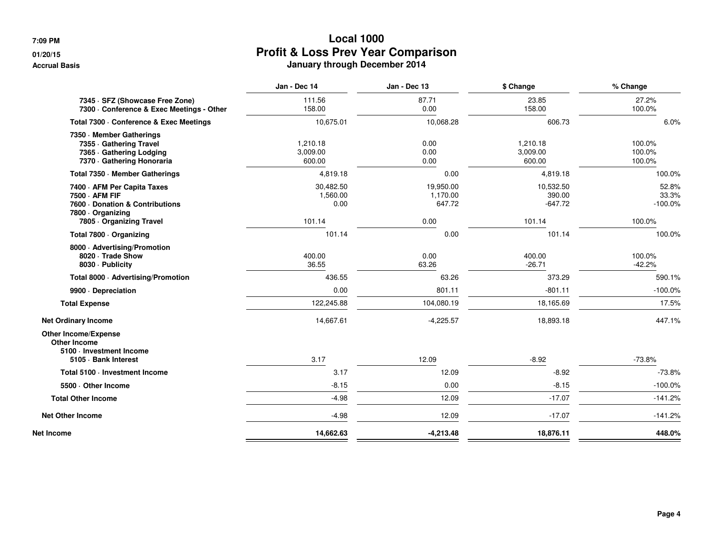### **01/20/15**

**Accrual Basis**

|                                                                                                                             | Jan - Dec 14                            | Jan - Dec 13                            | \$ Change                                  | % Change                               |
|-----------------------------------------------------------------------------------------------------------------------------|-----------------------------------------|-----------------------------------------|--------------------------------------------|----------------------------------------|
| 7345 · SFZ (Showcase Free Zone)<br>7300 · Conference & Exec Meetings - Other                                                | 111.56<br>158.00                        | 87.71<br>0.00                           | 23.85<br>158.00                            | 27.2%<br>100.0%                        |
| Total 7300 · Conference & Exec Meetings                                                                                     | 10,675.01                               | 10,068.28                               | 606.73                                     | 6.0%                                   |
| 7350 Member Gatherings<br>7355 Gathering Travel<br>7365 · Gathering Lodging<br>7370 - Gathering Honoraria                   | 1,210.18<br>3,009.00<br>600.00          | 0.00<br>0.00<br>0.00                    | 1,210.18<br>3,009.00<br>600.00             | 100.0%<br>100.0%<br>100.0%             |
| Total 7350 - Member Gatherings                                                                                              | 4,819.18                                | 0.00                                    | 4,819.18                                   | 100.0%                                 |
| 7400 AFM Per Capita Taxes<br>7500 - AFM FIF<br>7600 Donation & Contributions<br>7800 - Organizing<br>7805 Organizing Travel | 30,482.50<br>1,560.00<br>0.00<br>101.14 | 19,950.00<br>1,170.00<br>647.72<br>0.00 | 10,532.50<br>390.00<br>$-647.72$<br>101.14 | 52.8%<br>33.3%<br>$-100.0\%$<br>100.0% |
| Total 7800 Organizing                                                                                                       | 101.14                                  | 0.00                                    | 101.14                                     | 100.0%                                 |
| 8000 · Advertising/Promotion<br>8020 · Trade Show<br>8030 - Publicity                                                       | 400.00<br>36.55                         | 0.00<br>63.26                           | 400.00<br>$-26.71$                         | 100.0%<br>$-42.2%$                     |
| Total 8000 · Advertising/Promotion                                                                                          | 436.55                                  | 63.26                                   | 373.29                                     | 590.1%                                 |
| 9900 Depreciation                                                                                                           | 0.00                                    | 801.11                                  | $-801.11$                                  | $-100.0\%$                             |
| <b>Total Expense</b>                                                                                                        | 122,245.88                              | 104,080.19                              | 18,165.69                                  | 17.5%                                  |
| <b>Net Ordinary Income</b>                                                                                                  | 14,667.61                               | $-4,225.57$                             | 18,893.18                                  | 447.1%                                 |
| <b>Other Income/Expense</b><br><b>Other Income</b><br>5100 · Investment Income<br>5105 · Bank Interest                      | 3.17                                    | 12.09                                   | $-8.92$                                    | $-73.8%$                               |
| Total 5100 · Investment Income                                                                                              | 3.17                                    | 12.09                                   | $-8.92$                                    | $-73.8%$                               |
| 5500 Other Income                                                                                                           | $-8.15$                                 | 0.00                                    | $-8.15$                                    | $-100.0%$                              |
| <b>Total Other Income</b>                                                                                                   | $-4.98$                                 | 12.09                                   | $-17.07$                                   | $-141.2%$                              |
| <b>Net Other Income</b>                                                                                                     | $-4.98$                                 | 12.09                                   | $-17.07$                                   | $-141.2%$                              |
| <b>Net Income</b>                                                                                                           | 14,662.63                               | $-4,213.48$                             | 18,876.11                                  | 448.0%                                 |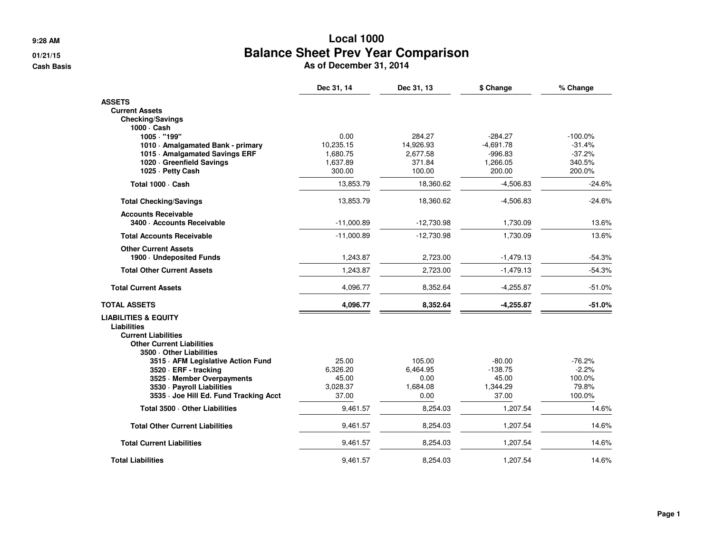**9:28 AM**

**01/21/15**

**Cash Basis**

# **Local 1000 Balance Sheet Prev Year Comparison As of December 31, 2014**

|                                                                | Dec 31, 14   | Dec 31, 13   | \$ Change   | % Change   |
|----------------------------------------------------------------|--------------|--------------|-------------|------------|
| <b>ASSETS</b>                                                  |              |              |             |            |
| <b>Current Assets</b>                                          |              |              |             |            |
| <b>Checking/Savings</b>                                        |              |              |             |            |
| 1000 · Cash<br>1005 · "199"                                    | 0.00         | 284.27       | $-284.27$   | $-100.0\%$ |
| 1010 Amalgamated Bank - primary                                | 10,235.15    | 14,926.93    | $-4,691.78$ | $-31.4%$   |
| 1015 Amalgamated Savings ERF                                   | 1,680.75     | 2,677.58     | $-996.83$   | $-37.2%$   |
| 1020 Greenfield Savings                                        | 1,637.89     | 371.84       | 1,266.05    | 340.5%     |
| 1025 - Petty Cash                                              | 300.00       | 100.00       | 200.00      | 200.0%     |
| Total 1000 · Cash                                              | 13,853.79    | 18,360.62    | $-4,506.83$ | $-24.6%$   |
| <b>Total Checking/Savings</b>                                  | 13,853.79    | 18,360.62    | $-4,506.83$ | $-24.6%$   |
| <b>Accounts Receivable</b>                                     |              |              |             |            |
| 3400 · Accounts Receivable                                     | $-11,000.89$ | $-12,730.98$ | 1,730.09    | 13.6%      |
| <b>Total Accounts Receivable</b>                               | $-11,000.89$ | $-12,730.98$ | 1,730.09    | 13.6%      |
| <b>Other Current Assets</b><br>1900 - Undeposited Funds        | 1,243.87     | 2,723.00     | $-1,479.13$ | $-54.3%$   |
| <b>Total Other Current Assets</b>                              | 1,243.87     | 2,723.00     | $-1,479.13$ | $-54.3%$   |
| <b>Total Current Assets</b>                                    | 4,096.77     | 8,352.64     | $-4,255.87$ | $-51.0%$   |
| <b>TOTAL ASSETS</b>                                            | 4,096.77     | 8,352.64     | $-4,255.87$ | $-51.0%$   |
| <b>LIABILITIES &amp; EQUITY</b>                                |              |              |             |            |
| <b>Liabilities</b>                                             |              |              |             |            |
| <b>Current Liabilities</b><br><b>Other Current Liabilities</b> |              |              |             |            |
| 3500 Other Liabilities                                         |              |              |             |            |
| 3515 AFM Legislative Action Fund                               | 25.00        | 105.00       | $-80.00$    | -76.2%     |
| 3520 · ERF - tracking                                          | 6,326.20     | 6,464.95     | $-138.75$   | $-2.2%$    |
| 3525 · Member Overpayments                                     | 45.00        | 0.00         | 45.00       | 100.0%     |
| 3530 - Payroll Liabilities                                     | 3,028.37     | 1,684.08     | 1,344.29    | 79.8%      |
| 3535 - Joe Hill Ed. Fund Tracking Acct                         | 37.00        | 0.00         | 37.00       | 100.0%     |
| Total 3500 · Other Liabilities                                 | 9,461.57     | 8,254.03     | 1,207.54    | 14.6%      |
| <b>Total Other Current Liabilities</b>                         | 9,461.57     | 8,254.03     | 1,207.54    | 14.6%      |
| <b>Total Current Liabilities</b>                               | 9,461.57     | 8,254.03     | 1,207.54    | 14.6%      |
| <b>Total Liabilities</b>                                       | 9,461.57     | 8,254.03     | 1,207.54    | 14.6%      |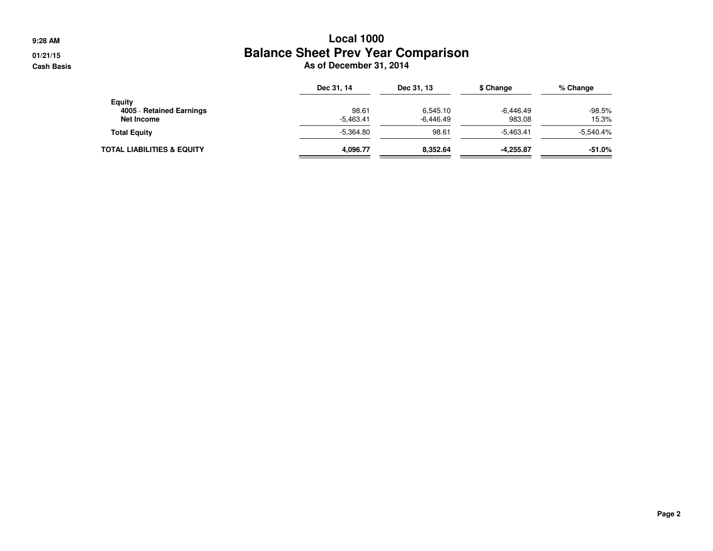**9:28 AM**

**01/21/15Cash Basis**

# **Local 1000 Balance Sheet Prev Year Comparison As of December 31, 2014**

|                            | Dec 31, 14  | Dec 31, 13  | \$ Change   | % Change    |
|----------------------------|-------------|-------------|-------------|-------------|
| Equity                     |             |             |             |             |
| 4005 · Retained Earnings   | 98.61       | 6.545.10    | $-6.446.49$ | $-98.5%$    |
| Net Income                 | $-5.463.41$ | $-6.446.49$ | 983.08      | 15.3%       |
| <b>Total Equity</b>        | $-5.364.80$ | 98.61       | $-5.463.41$ | $-5.540.4%$ |
| TOTAL LIABILITIES & EQUITY | 4.096.77    | 8.352.64    | $-4.255.87$ | $-51.0%$    |
|                            |             |             |             |             |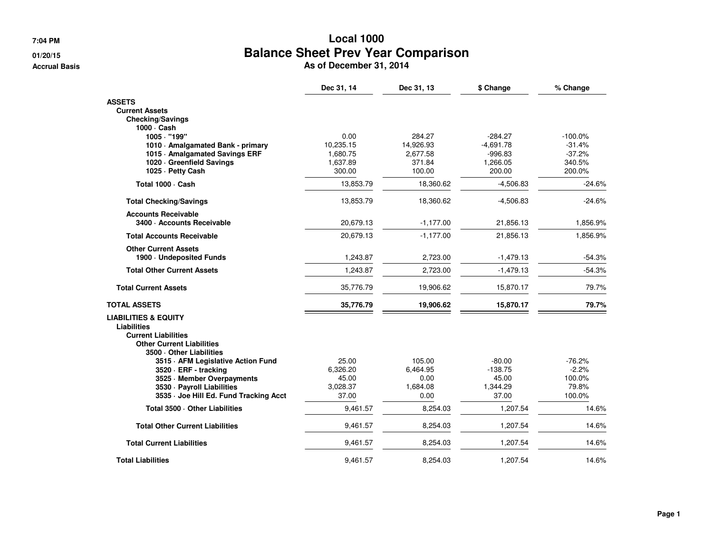**7:04 PM**

#### **01/20/15**

**Accrual Basis**

# **Local 1000 Balance Sheet Prev Year Comparison**<br> **As of December 31, 2014**<br> **As of December 31, 2014**

|                                                                              | Dec 31, 14         | Dec 31, 13       | \$ Change          | % Change         |
|------------------------------------------------------------------------------|--------------------|------------------|--------------------|------------------|
| <b>ASSETS</b>                                                                |                    |                  |                    |                  |
| <b>Current Assets</b>                                                        |                    |                  |                    |                  |
| <b>Checking/Savings</b>                                                      |                    |                  |                    |                  |
| 1000 · Cash                                                                  |                    |                  |                    |                  |
| 1005 · "199"                                                                 | 0.00               | 284.27           | $-284.27$          | $-100.0%$        |
| 1010 · Amalgamated Bank - primary                                            | 10,235.15          | 14,926.93        | $-4,691.78$        | $-31.4%$         |
| 1015 Amalgamated Savings ERF                                                 | 1,680.75           | 2,677.58         | $-996.83$          | $-37.2%$         |
| 1020 Greenfield Savings<br>1025 - Petty Cash                                 | 1,637.89<br>300.00 | 371.84<br>100.00 | 1,266.05<br>200.00 | 340.5%<br>200.0% |
|                                                                              |                    |                  |                    |                  |
| Total 1000 · Cash                                                            | 13,853.79          | 18,360.62        | $-4,506.83$        | $-24.6%$         |
| <b>Total Checking/Savings</b>                                                | 13,853.79          | 18,360.62        | $-4,506.83$        | $-24.6%$         |
| <b>Accounts Receivable</b><br>3400 - Accounts Receivable                     | 20,679.13          | $-1,177.00$      | 21,856.13          | 1,856.9%         |
|                                                                              |                    |                  |                    |                  |
| <b>Total Accounts Receivable</b>                                             | 20,679.13          | $-1,177.00$      | 21,856.13          | 1,856.9%         |
| <b>Other Current Assets</b><br>1900 - Undeposited Funds                      | 1,243.87           | 2,723.00         | $-1,479.13$        | $-54.3%$         |
| <b>Total Other Current Assets</b>                                            | 1,243.87           | 2,723.00         | $-1,479.13$        | $-54.3%$         |
| <b>Total Current Assets</b>                                                  | 35,776.79          | 19,906.62        | 15,870.17          | 79.7%            |
| TOTAL ASSETS                                                                 | 35,776.79          | 19,906.62        | 15,870.17          | 79.7%            |
| <b>LIABILITIES &amp; EQUITY</b><br>Liabilities<br><b>Current Liabilities</b> |                    |                  |                    |                  |
| <b>Other Current Liabilities</b>                                             |                    |                  |                    |                  |
| 3500 Other Liabilities                                                       | 25.00              | 105.00           | $-80.00$           | $-76.2%$         |
| 3515 AFM Legislative Action Fund<br>3520 · ERF - tracking                    | 6,326.20           | 6,464.95         | $-138.75$          | $-2.2%$          |
| 3525 · Member Overpayments                                                   | 45.00              | 0.00             | 45.00              | 100.0%           |
| 3530 - Payroll Liabilities                                                   | 3.028.37           | 1,684.08         | 1,344.29           | 79.8%            |
| 3535 - Joe Hill Ed. Fund Tracking Acct                                       | 37.00              | 0.00             | 37.00              | 100.0%           |
| Total 3500 · Other Liabilities                                               | 9,461.57           | 8,254.03         | 1,207.54           | 14.6%            |
| <b>Total Other Current Liabilities</b>                                       | 9,461.57           | 8,254.03         | 1,207.54           | 14.6%            |
| <b>Total Current Liabilities</b>                                             | 9,461.57           | 8,254.03         | 1,207.54           | 14.6%            |
| <b>Total Liabilities</b>                                                     | 9,461.57           | 8,254.03         | 1,207.54           | 14.6%            |